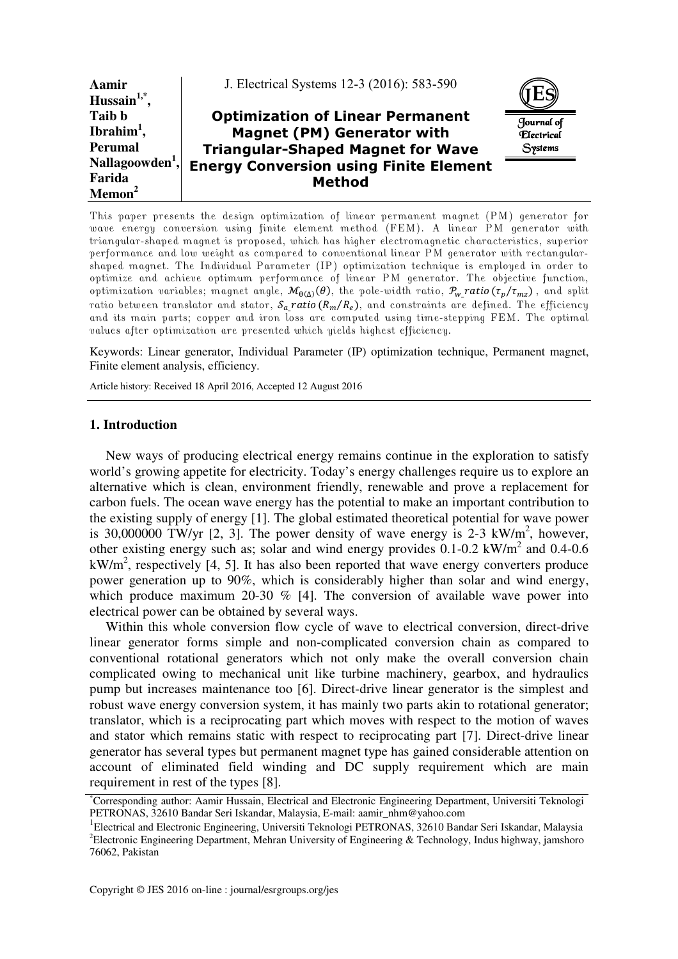| Aamir<br>Hussain $1,$ <sup>*</sup> ,                        | J. Electrical Systems 12-3 (2016): 583-590                                                                               |                                                   |
|-------------------------------------------------------------|--------------------------------------------------------------------------------------------------------------------------|---------------------------------------------------|
| Taib b<br>Ibrahim <sup>1</sup> ,<br>Perumal                 | <b>Optimization of Linear Permanent</b><br><b>Magnet (PM) Generator with</b><br><b>Triangular-Shaped Magnet for Wave</b> | Journal of<br><i><b>Flectrical</b></i><br>Systems |
| Nallagoowden <sup>1</sup> ,<br>Farida<br>Memon <sup>2</sup> | <b>Energy Conversion using Finite Element</b><br><b>Method</b>                                                           |                                                   |

This paper presents the design optimization of linear permanent magnet (PM) generator for wave energy conversion using finite element method (FEM). A linear PM generator with triangular-shaped magnet is proposed, which has higher electromagnetic characteristics, superior performance and low weight as compared to conventional linear PM generator with rectangularshaped magnet. The Individual Parameter (IP) optimization technique is employed in order to optimize and achieve optimum performance of linear PM generator. The objective function, optimization variables; magnet angle,  $\mathcal{M}_{\theta(\Delta)}(\theta)$ , the pole-width ratio,  $\mathcal{P}_{w}$ ratio $(\tau_p/\tau_{mz})$ , and split ratio between translator and stator,  $\mathcal{S}_a$  ratio ( $R_m/R_e$ ), and constraints are defined. The efficiency and its main parts; copper and iron loss are computed using time-stepping FEM. The optimal values after optimization are presented which yields highest efficiency.

Keywords: Linear generator, Individual Parameter (IP) optimization technique, Permanent magnet, Finite element analysis, efficiency.

Article history: Received 18 April 2016, Accepted 12 August 2016

### **1. Introduction**

New ways of producing electrical energy remains continue in the exploration to satisfy world's growing appetite for electricity. Today's energy challenges require us to explore an alternative which is clean, environment friendly, renewable and prove a replacement for carbon fuels. The ocean wave energy has the potential to make an important contribution to the existing supply of energy [1]. The global estimated theoretical potential for wave power is 30,000000 TW/yr [2, 3]. The power density of wave energy is 2-3  $kW/m^2$ , however, other existing energy such as; solar and wind energy provides  $0.1$ - $0.2$  kW/m<sup>2</sup> and  $0.4$ - $0.6$  $kW/m<sup>2</sup>$ , respectively [4, 5]. It has also been reported that wave energy converters produce power generation up to 90%, which is considerably higher than solar and wind energy, which produce maximum 20-30 % [4]. The conversion of available wave power into electrical power can be obtained by several ways.

Within this whole conversion flow cycle of wave to electrical conversion, direct-drive linear generator forms simple and non-complicated conversion chain as compared to conventional rotational generators which not only make the overall conversion chain complicated owing to mechanical unit like turbine machinery, gearbox, and hydraulics pump but increases maintenance too [6]. Direct-drive linear generator is the simplest and robust wave energy conversion system, it has mainly two parts akin to rotational generator; translator, which is a reciprocating part which moves with respect to the motion of waves and stator which remains static with respect to reciprocating part [7]. Direct-drive linear generator has several types but permanent magnet type has gained considerable attention on account of eliminated field winding and DC supply requirement which are main requirement in rest of the types [8].

<sup>\*</sup>Corresponding author: Aamir Hussain, Electrical and Electronic Engineering Department, Universiti Teknologi PETRONAS, 32610 Bandar Seri Iskandar, Malaysia, E-mail: aamir\_nhm@yahoo.com

<sup>&</sup>lt;sup>1</sup>Electrical and Electronic Engineering, Universiti Teknologi PETRONAS, 32610 Bandar Seri Iskandar, Malaysia <sup>2</sup>Electronic Engineering Department, Mehran University of Engineering & Technology, Indus highway, jamshoro 76062, Pakistan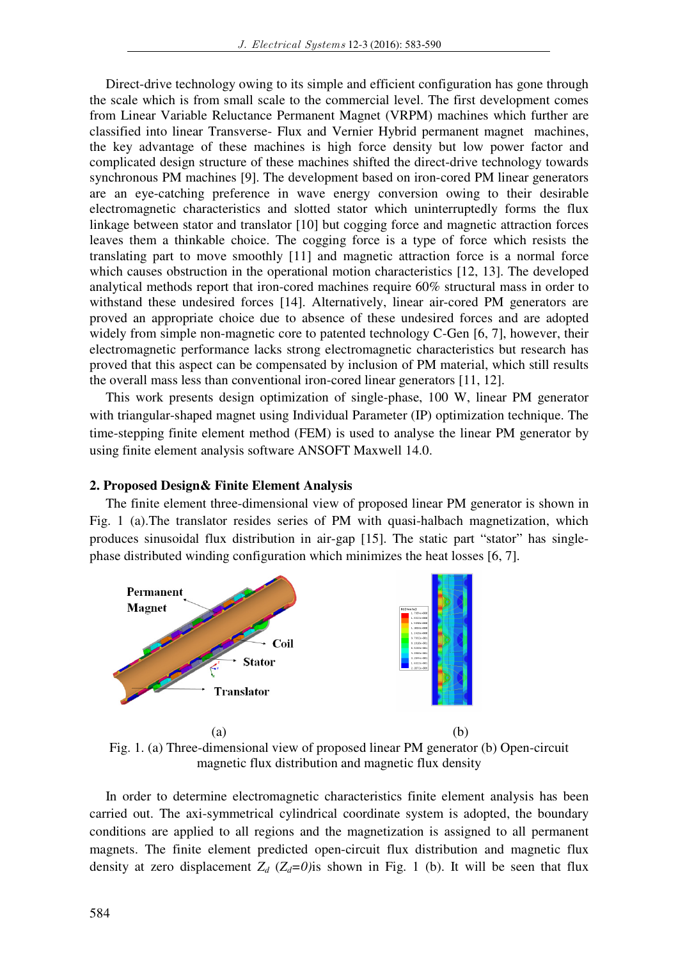Direct-drive technology owing to its simple and efficient configuration has gone through the scale which is from small scale to the commercial level. The first development comes from Linear Variable Reluctance Permanent Magnet (VRPM) machines which further are classified into linear Transverse- Flux and Vernier Hybrid permanent magnet machines, the key advantage of these machines is high force density but low power factor and complicated design structure of these machines shifted the direct-drive technology towards synchronous PM machines [9]. The development based on iron-cored PM linear generators are an eye-catching preference in wave energy conversion owing to their desirable electromagnetic characteristics and slotted stator which uninterruptedly forms the flux linkage between stator and translator [10] but cogging force and magnetic attraction forces leaves them a thinkable choice. The cogging force is a type of force which resists the translating part to move smoothly [11] and magnetic attraction force is a normal force which causes obstruction in the operational motion characteristics [12, 13]. The developed analytical methods report that iron-cored machines require 60% structural mass in order to withstand these undesired forces [14]. Alternatively, linear air-cored PM generators are proved an appropriate choice due to absence of these undesired forces and are adopted widely from simple non-magnetic core to patented technology C-Gen [6, 7], however, their electromagnetic performance lacks strong electromagnetic characteristics but research has proved that this aspect can be compensated by inclusion of PM material, which still results the overall mass less than conventional iron-cored linear generators [11, 12].

This work presents design optimization of single-phase, 100 W, linear PM generator with triangular-shaped magnet using Individual Parameter (IP) optimization technique. The time-stepping finite element method (FEM) is used to analyse the linear PM generator by using finite element analysis software ANSOFT Maxwell 14.0.

#### **2. Proposed Design& Finite Element Analysis**

The finite element three-dimensional view of proposed linear PM generator is shown in Fig. 1 (a).The translator resides series of PM with quasi-halbach magnetization, which produces sinusoidal flux distribution in air-gap [15]. The static part "stator" has singlephase distributed winding configuration which minimizes the heat losses [6, 7].



Fig. 1. (a) Three-dimensional view of proposed linear PM generator (b) Open-circuit magnetic flux distribution and magnetic flux density

In order to determine electromagnetic characteristics finite element analysis has been carried out. The axi-symmetrical cylindrical coordinate system is adopted, the boundary conditions are applied to all regions and the magnetization is assigned to all permanent magnets. The finite element predicted open-circuit flux distribution and magnetic flux density at zero displacement  $Z_d$  ( $Z_d$ =0)<sup>is</sup> shown in Fig. 1 (b). It will be seen that flux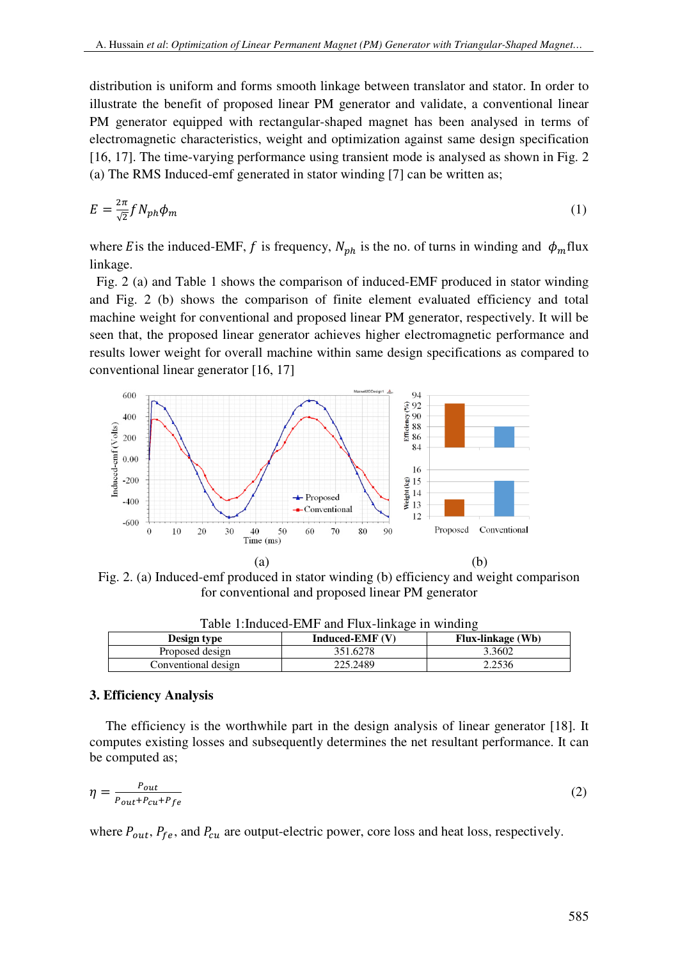distribution is uniform and forms smooth linkage between translator and stator. In order to illustrate the benefit of proposed linear PM generator and validate, a conventional linear PM generator equipped with rectangular-shaped magnet has been analysed in terms of electromagnetic characteristics, weight and optimization against same design specification [16, 17]. The time-varying performance using transient mode is analysed as shown in Fig. 2 (a) The RMS Induced-emf generated in stator winding [7] can be written as;

$$
E = \frac{2\pi}{\sqrt{2}} f N_{ph} \phi_m \tag{1}
$$

where E is the induced-EMF, f is frequency,  $N_{ph}$  is the no. of turns in winding and  $\phi_m$ flux linkage.

 Fig. 2 (a) and Table 1 shows the comparison of induced-EMF produced in stator winding and Fig. 2 (b) shows the comparison of finite element evaluated efficiency and total machine weight for conventional and proposed linear PM generator, respectively. It will be seen that, the proposed linear generator achieves higher electromagnetic performance and results lower weight for overall machine within same design specifications as compared to conventional linear generator [16, 17]



Fig. 2. (a) Induced-emf produced in stator winding (b) efficiency and weight comparison for conventional and proposed linear PM generator

| Table 1. Induced-ENIF and Flux-Hikage III willuing |                   |                          |  |  |
|----------------------------------------------------|-------------------|--------------------------|--|--|
| Design type                                        | Induced-EMF $(V)$ | <b>Flux-linkage</b> (Wb) |  |  |
| Proposed design                                    | 351.6278          | 3.3602                   |  |  |
| Conventional design                                | 225.2489          | 2.2536                   |  |  |

Table 1:Induced-EMF and Flux-linkage in winding

### **3. Efficiency Analysis**

The efficiency is the worthwhile part in the design analysis of linear generator [18]. It computes existing losses and subsequently determines the net resultant performance. It can be computed as;

$$
\eta = \frac{P_{out}}{P_{out} + P_{cu} + P_{fe}}\tag{2}
$$

where  $P_{out}$ ,  $P_{fe}$ , and  $P_{cu}$  are output-electric power, core loss and heat loss, respectively.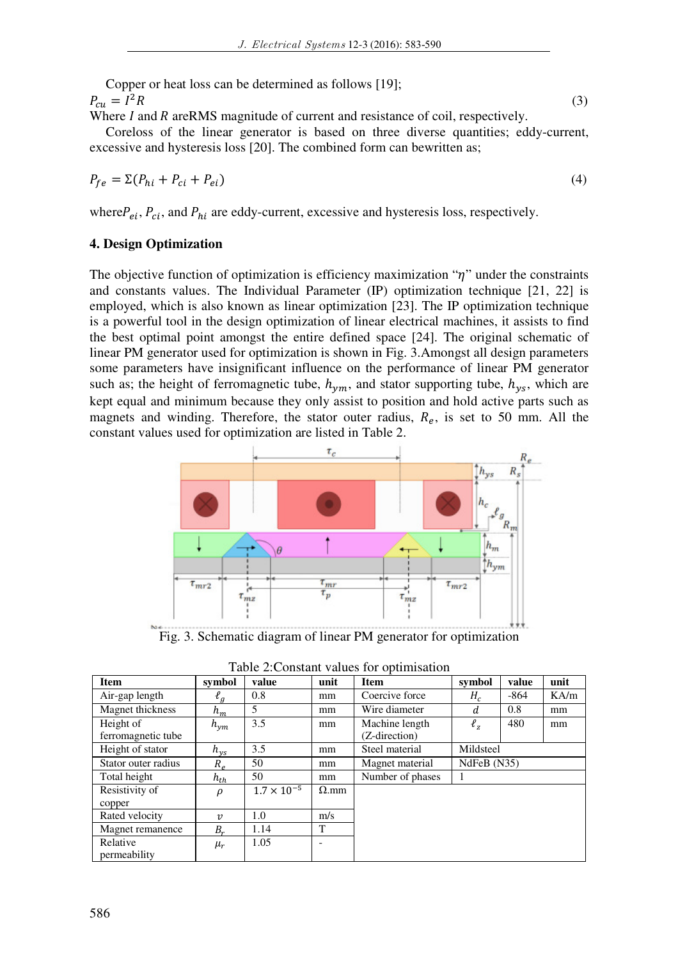Copper or heat loss can be determined as follows [19];  $P_{cu} = I^2 R$  (3)

Where  $I$  and  $R$  are RMS magnitude of current and resistance of coil, respectively. Coreloss of the linear generator is based on three diverse quantities; eddy-current, excessive and hysteresis loss [20]. The combined form can bewritten as;

$$
P_{fe} = \Sigma (P_{hi} + P_{ci} + P_{ei})
$$
\n<sup>(4)</sup>

where $P_{ei}$ ,  $P_{ci}$ , and  $P_{hi}$  are eddy-current, excessive and hysteresis loss, respectively.

## **4. Design Optimization**

The objective function of optimization is efficiency maximization " $\eta$ " under the constraints and constants values. The Individual Parameter (IP) optimization technique [21, 22] is employed, which is also known as linear optimization [23]. The IP optimization technique is a powerful tool in the design optimization of linear electrical machines, it assists to find the best optimal point amongst the entire defined space [24]. The original schematic of linear PM generator used for optimization is shown in Fig. 3.Amongst all design parameters some parameters have insignificant influence on the performance of linear PM generator such as; the height of ferromagnetic tube,  $h_{vm}$ , and stator supporting tube,  $h_{vs}$ , which are kept equal and minimum because they only assist to position and hold active parts such as magnets and winding. Therefore, the stator outer radius,  $R_e$ , is set to 50 mm. All the constant values used for optimization are listed in Table 2.



Fig. 3. Schematic diagram of linear PM generator for optimization

| Item                            | symbol                  | value                | unit         | <b>Item</b>                     | symbol      | value  | unit          |
|---------------------------------|-------------------------|----------------------|--------------|---------------------------------|-------------|--------|---------------|
| Air-gap length                  | $\ell_g$                | 0.8                  | mm           | Coercive force                  | $H_c$       | $-864$ | $K\text{A/m}$ |
| Magnet thickness                | $h_m$                   | 5                    | mm           | Wire diameter                   | d           | 0.8    | mm            |
| Height of<br>ferromagnetic tube | $h_{ym}$                | 3.5                  | mm           | Machine length<br>(Z-direction) | $\ell_z$    | 480    | mm            |
| Height of stator                | $h_{\rm{ys}}$           | 3.5                  | mm           | Steel material                  | Mildsteel   |        |               |
| Stator outer radius             | $R_e$                   | 50                   | mm           | Magnet material                 | NdFeB (N35) |        |               |
| Total height                    | $h_{th}$                | 50                   | mm           | Number of phases                |             |        |               |
| Resistivity of<br>copper        | $\rho$                  | $1.7 \times 10^{-5}$ | $\Omega$ .mm |                                 |             |        |               |
| Rated velocity                  | $\boldsymbol{\upsilon}$ | 1.0                  | m/s          |                                 |             |        |               |
| Magnet remanence                | $B_r$                   | 1.14                 | T            |                                 |             |        |               |
| Relative<br>permeability        | $\mu_r$                 | 1.05                 |              |                                 |             |        |               |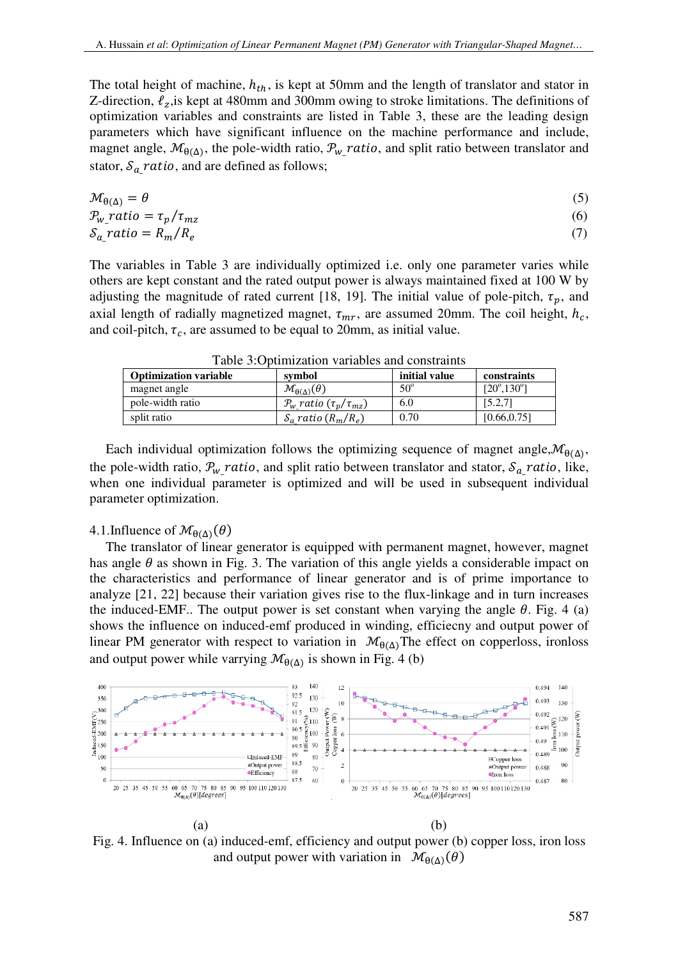The total height of machine,  $h_{th}$ , is kept at 50mm and the length of translator and stator in Z-direction,  $\ell_z$ , is kept at 480mm and 300mm owing to stroke limitations. The definitions of optimization variables and constraints are listed in Table 3, these are the leading design parameters which have significant influence on the machine performance and include, magnet angle,  $\mathcal{M}_{\theta(\Delta)}$ , the pole-width ratio,  $\mathcal{P}_{w}$  ratio, and split ratio between translator and stator,  $S_{a}$  ratio, and are defined as follows;

$$
\mathcal{M}_{\theta(\Delta)} = \theta \tag{5}
$$

$$
\mathcal{P}_{w} \text{ratio} = \tau_p / \tau_{mz} \tag{6}
$$
\n
$$
\mathcal{S}_a \text{ratio} = R_m / R_e \tag{7}
$$

The variables in Table 3 are individually optimized i.e. only one parameter varies while others are kept constant and the rated output power is always maintained fixed at 100 W by adjusting the magnitude of rated current [18, 19]. The initial value of pole-pitch,  $\tau_n$ , and axial length of radially magnetized magnet,  $\tau_{mr}$ , are assumed 20mm. The coil height,  $h_c$ , and coil-pitch,  $\tau_c$ , are assumed to be equal to 20mm, as initial value.

| Tuoto 3.0 billillautoli valtuoto alla volistiallito |                                        |               |                             |  |
|-----------------------------------------------------|----------------------------------------|---------------|-----------------------------|--|
| <b>Optimization variable</b>                        | symbol                                 | initial value | constraints                 |  |
| magnet angle                                        | $\mathcal{M}_{\theta(\Delta)}(\theta)$ | $50^{\circ}$  | $[20^{\circ}, 130^{\circ}]$ |  |
| pole-width ratio                                    | $P_w$ ratio ( $\tau_p/\tau_{mz}$ )     | 6.0           | [5.2, 7]                    |  |
| split ratio                                         | $S_a$ ratio $(R_m/R_e)$                | 0.70          | [0.66, 0.75]                |  |

Table 3:Optimization variables and constraints

Each individual optimization follows the optimizing sequence of magnet angle,  $\mathcal{M}_{\theta(\Delta)}$ , the pole-width ratio,  $P_{w}$  ratio, and split ratio between translator and stator,  $S_{a}$  ratio, like, when one individual parameter is optimized and will be used in subsequent individual parameter optimization.

# 4.1.Influence of  $\mathcal{M}_{\theta(\Delta)}(\theta)$

The translator of linear generator is equipped with permanent magnet, however, magnet has angle  $\theta$  as shown in Fig. 3. The variation of this angle yields a considerable impact on the characteristics and performance of linear generator and is of prime importance to analyze [21, 22] because their variation gives rise to the flux-linkage and in turn increases the induced-EMF.. The output power is set constant when varying the angle  $\theta$ . Fig. 4 (a) shows the influence on induced-emf produced in winding, efficiecny and output power of linear PM generator with respect to variation in  $\mathcal{M}_{\theta(\Delta)}$ The effect on copperloss, ironloss and output power while varrying  $\mathcal{M}_{\theta(\Delta)}$  is shown in Fig. 4 (b)



Fig. 4. Influence on (a) induced-emf, efficiency and output power (b) copper loss, iron loss and output power with variation in  $\mathcal{M}_{\theta(\Delta)}(\theta)$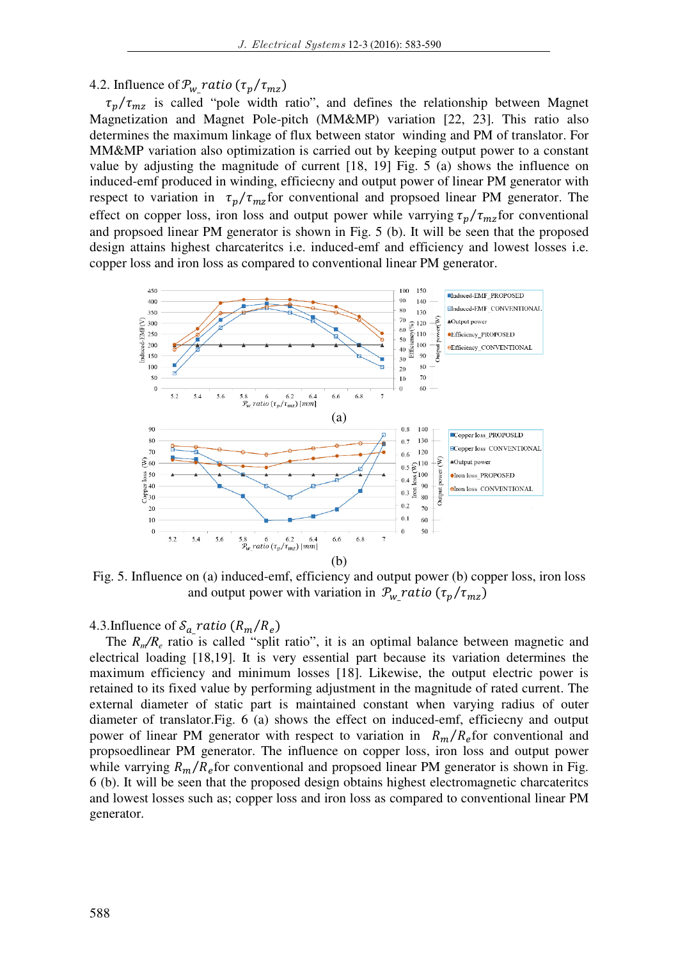# 4.2. Influence of  $P_{w}$  ratio  $(\tau_p / \tau_{mz})$

 $\tau_p/\tau_{mz}$  is called "pole width ratio", and defines the relationship between Magnet Magnetization and Magnet Pole-pitch (MM&MP) variation [22, 23]. This ratio also determines the maximum linkage of flux between stator winding and PM of translator. For MM&MP variation also optimization is carried out by keeping output power to a constant value by adjusting the magnitude of current [18, 19] Fig. 5 (a) shows the influence on induced-emf produced in winding, efficiecny and output power of linear PM generator with respect to variation in  $\tau_p/\tau_{mz}$  for conventional and propsoed linear PM generator. The effect on copper loss, iron loss and output power while varrying  $\tau_p/\tau_{mz}$  for conventional and propsoed linear PM generator is shown in Fig. 5 (b). It will be seen that the proposed design attains highest charcateritcs i.e. induced-emf and efficiency and lowest losses i.e. copper loss and iron loss as compared to conventional linear PM generator.



Fig. 5. Influence on (a) induced-emf, efficiency and output power (b) copper loss, iron loss and output power with variation in  $P_{w}$ <sup>r</sup>atio ( $\tau_p/\tau_{mz}$ )

4.3. Influence of  $S_{a}$  ratio  $(R_m/R_e)$ 

The  $R_m/R_e$  ratio is called "split ratio", it is an optimal balance between magnetic and electrical loading [18,19]. It is very essential part because its variation determines the maximum efficiency and minimum losses [18]. Likewise, the output electric power is retained to its fixed value by performing adjustment in the magnitude of rated current. The external diameter of static part is maintained constant when varying radius of outer diameter of translator.Fig. 6 (a) shows the effect on induced-emf, efficiecny and output power of linear PM generator with respect to variation in  $R_m/R_e$  for conventional and propsoedlinear PM generator. The influence on copper loss, iron loss and output power while varrying  $R_m/R_e$  for conventional and propsoed linear PM generator is shown in Fig. 6 (b). It will be seen that the proposed design obtains highest electromagnetic charcateritcs and lowest losses such as; copper loss and iron loss as compared to conventional linear PM generator.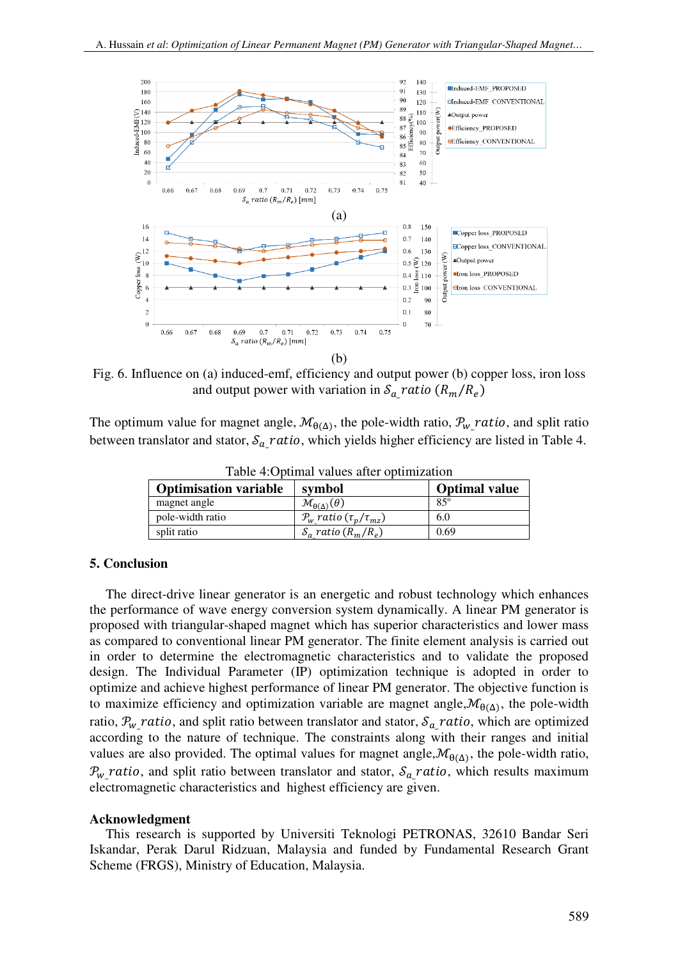

Fig. 6. Influence on (a) induced-emf, efficiency and output power (b) copper loss, iron loss and output power with variation in  $S_{a}$  ratio  $(R_m/R_e)$ 

The optimum value for magnet angle,  $\mathcal{M}_{\theta(\Delta)}$ , the pole-width ratio,  $\mathcal{P}_{w}$  ratio, and split ratio between translator and stator,  $\mathcal{S}_{a}$  ratio, which yields higher efficiency are listed in Table 4.

| ruote no pullum varuos arter opullillation |                                        |                      |  |  |
|--------------------------------------------|----------------------------------------|----------------------|--|--|
| <b>Optimisation variable</b>               | symbol                                 | <b>Optimal value</b> |  |  |
| magnet angle                               | $\mathcal{M}_{\theta(\Delta)}(\theta)$ | $85^\circ$           |  |  |
| pole-width ratio                           | $P_w$ ratio $(\tau_n/\tau_{mz})$       | 6.0                  |  |  |
| split ratio                                | $S_a$ ratio $(R_m/R_e)$                | 0.69                 |  |  |

Table 4:Optimal values after optimization

### **5. Conclusion**

The direct-drive linear generator is an energetic and robust technology which enhances the performance of wave energy conversion system dynamically. A linear PM generator is proposed with triangular-shaped magnet which has superior characteristics and lower mass as compared to conventional linear PM generator. The finite element analysis is carried out in order to determine the electromagnetic characteristics and to validate the proposed design. The Individual Parameter (IP) optimization technique is adopted in order to optimize and achieve highest performance of linear PM generator. The objective function is to maximize efficiency and optimization variable are magnet angle,  $\mathcal{M}_{\theta(\Delta)}$ , the pole-width ratio,  $P_{w}$  ratio, and split ratio between translator and stator,  $S_{a}$  ratio, which are optimized according to the nature of technique. The constraints along with their ranges and initial values are also provided. The optimal values for magnet angle,  $\mathcal{M}_{\theta(\Delta)}$ , the pole-width ratio,  $P_{w}$  ratio, and split ratio between translator and stator,  $S_{a}$  ratio, which results maximum electromagnetic characteristics and highest efficiency are given.

### **Acknowledgment**

This research is supported by Universiti Teknologi PETRONAS, 32610 Bandar Seri Iskandar, Perak Darul Ridzuan, Malaysia and funded by Fundamental Research Grant Scheme (FRGS), Ministry of Education, Malaysia.